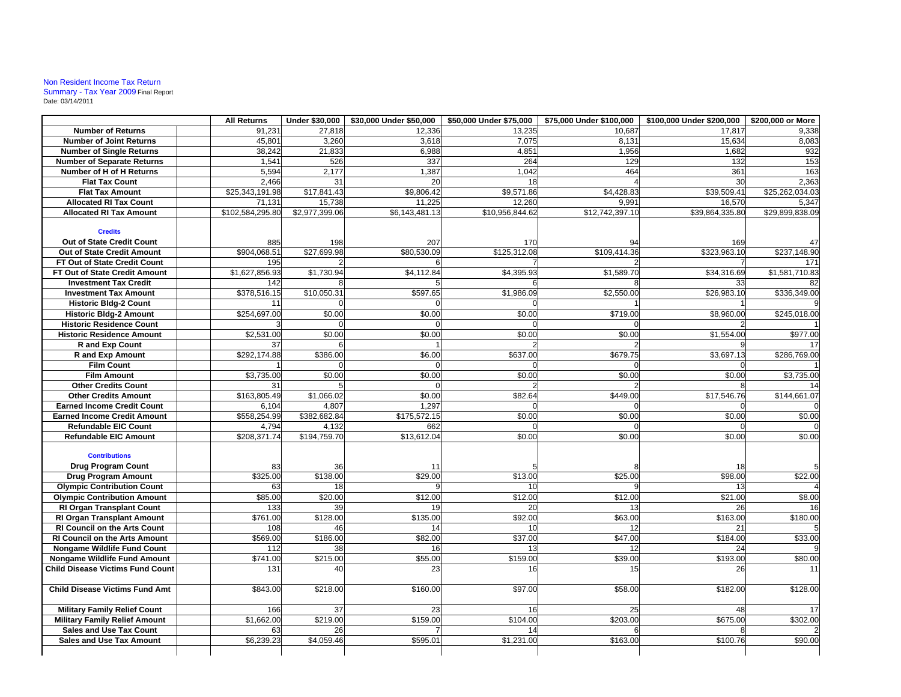## Non Resident Income Tax Return Summary - Tax Year 2009 Final Report Date: 03/14/2011

|                                         | <b>All Returns</b>  | Under \$30,000     | \$30,000 Under \$50,000 | \$50,000 Under \$75,000 | \$75,000 Under \$100,000 | \$100,000 Under \$200,000 | \$200,000 or More |
|-----------------------------------------|---------------------|--------------------|-------------------------|-------------------------|--------------------------|---------------------------|-------------------|
| <b>Number of Returns</b>                | 91.231              | 27.818             | 12,336                  | 13.235                  | 10.687                   | 17.817                    | 9,338             |
| <b>Number of Joint Returns</b>          | 45,801              | 3,260              | 3,618                   | 7,075                   | 8,131                    | 15,634                    | 8,083             |
| <b>Number of Single Returns</b>         | 38,242              | 21,833             | 6,988                   | 4,851                   | 1,956                    | 1,682                     | 932               |
| <b>Number of Separate Returns</b>       | 1,541               | 526                | 337                     | 264                     | 129                      | 132                       | 153               |
| Number of H of H Returns                | 5,594               | 2,177              | 1,387                   | 1,042                   | 464                      | 361                       | 163               |
| <b>Flat Tax Count</b>                   | 2.466               | 31                 | 20                      | 18                      |                          | 30                        | 2,363             |
| <b>Flat Tax Amount</b>                  | \$25,343,191.98     | \$17,841.43        | \$9,806.42              | \$9,571.86              | \$4,428.83               | \$39,509.41               | \$25,262,034.03   |
| <b>Allocated RI Tax Count</b>           | 71,131              | 15,738             | 11,225                  | 12,260                  | 9,991                    | 16,570                    | 5,347             |
| <b>Allocated RI Tax Amount</b>          | \$102,584,295.80    | \$2,977,399.06     | \$6,143,481.13          | \$10,956,844.62         | \$12,742,397.10          | \$39,864,335.80           | \$29,899,838.09   |
| <b>Credits</b>                          |                     |                    |                         |                         |                          |                           |                   |
| Out of State Credit Count               |                     |                    |                         |                         |                          |                           |                   |
| Out of State Credit Amount              | 885<br>\$904,068.51 | 198<br>\$27.699.98 | 207<br>\$80,530.09      | 170<br>\$125,312.08     | \$109,414.36             | 169<br>\$323,963.10       | \$237.148.90      |
| FT Out of State Credit Count            | 195                 |                    |                         |                         |                          |                           | 171               |
| FT Out of State Credit Amount           | \$1,627,856.93      | \$1,730.94         | \$4,112.84              | \$4,395.93              | \$1,589.70               | \$34,316.69               | \$1,581,710.83    |
| <b>Investment Tax Credit</b>            | 142                 |                    |                         |                         |                          | 33                        | 82                |
| <b>Investment Tax Amount</b>            | \$378,516.15        | \$10,050.31        | \$597.65                | \$1,986.09              | \$2,550.00               | \$26,983.10               | \$336,349.00      |
| <b>Historic Bldg-2 Count</b>            | 11                  |                    |                         |                         |                          |                           |                   |
| <b>Historic Bldg-2 Amount</b>           | \$254,697.00        | \$0.00             | \$0.00                  | \$0.00                  | \$719.00                 | \$8,960.00                | \$245,018.00      |
| <b>Historic Residence Count</b>         |                     |                    |                         |                         |                          |                           |                   |
| <b>Historic Residence Amount</b>        | \$2,531.00          | \$0.00             | \$0.00                  | \$0.00                  | \$0.00                   | \$1,554.00                | \$977.00          |
| <b>R</b> and Exp Count                  | 37                  |                    |                         |                         |                          |                           |                   |
| <b>R</b> and Exp Amount                 | \$292,174.88        | \$386.00           | \$6.00                  | \$637.00                | \$679.75                 | \$3,697.13                | \$286,769.00      |
| <b>Film Count</b>                       |                     |                    |                         |                         |                          |                           |                   |
| <b>Film Amount</b>                      | \$3,735.00          | \$0.00             | \$0.00                  | \$0.00                  | \$0.00                   | \$0.00                    | \$3,735.00        |
| <b>Other Credits Count</b>              | 31                  |                    | $\Omega$                |                         |                          |                           |                   |
| <b>Other Credits Amount</b>             | \$163,805.49        | \$1,066.02         | \$0.00                  | \$82.64                 | \$449.00                 | \$17,546.76               | \$144,661.07      |
| <b>Earned Income Credit Count</b>       | 6,104               | 4,807              | 1,297                   |                         |                          |                           |                   |
| <b>Earned Income Credit Amount</b>      | \$558,254.99        | \$382,682.84       | \$175,572.15            | \$0.00                  | \$0.00                   | \$0.00                    | \$0.00            |
| <b>Refundable EIC Count</b>             | 4,794               | 4,132              | 662                     |                         |                          |                           |                   |
| <b>Refundable EIC Amount</b>            | \$208,371.74        | \$194,759.70       | \$13,612.04             | \$0.00                  | \$0.00                   | \$0.00                    | \$0.00            |
|                                         |                     |                    |                         |                         |                          |                           |                   |
| <b>Contributions</b>                    |                     |                    |                         |                         |                          |                           |                   |
| <b>Drug Program Count</b>               | 83                  | 36                 | 11                      |                         |                          | 18                        |                   |
| Drug Program Amount                     | \$325.00            | \$138.00           | \$29.00                 | \$13.00                 | \$25.00                  | \$98.00                   | \$22.00           |
| <b>Olympic Contribution Count</b>       | 63                  | 18                 |                         | 10                      |                          | 13                        |                   |
| <b>Olympic Contribution Amount</b>      | \$85.00             | \$20.00            | \$12.00                 | \$12.00                 | \$12.00                  | \$21.00                   | \$8.00            |
| <b>RI Organ Transplant Count</b>        | 133                 | 39                 | 19                      | 20                      | 13                       | 26                        | 16                |
| <b>RI Organ Transplant Amount</b>       | \$761.00            | \$128.00           | \$135.00                | \$92.00                 | \$63.00                  | \$163.00                  | \$180.00          |
| <b>RI Council on the Arts Count</b>     | 108                 | 46                 | 14                      | 10                      | 12                       | 21                        |                   |
| <b>RI Council on the Arts Amount</b>    | \$569.00            | \$186.00           | \$82.00                 | \$37.00                 | \$47.00                  | \$184.00                  | \$33.00           |
| Nongame Wildlife Fund Count             | 112                 | 38                 | 16                      | 13                      | 12                       | 24                        |                   |
| <b>Nongame Wildlife Fund Amount</b>     | \$741.00            | \$215.00           | \$55.00                 | \$159.00                | \$39.00                  | \$193.00                  | \$80.00           |
| <b>Child Disease Victims Fund Count</b> | 131                 | 40                 | 23                      | 16                      | 15                       | 26                        |                   |
| <b>Child Disease Victims Fund Amt</b>   | \$843.00            | \$218.00           | \$160.00                | \$97.00                 | \$58.00                  | \$182.00                  | \$128.00          |
| <b>Military Family Relief Count</b>     | 166                 | 37                 | 23                      | 16                      | 25                       | 48                        | 17                |
| <b>Military Family Relief Amount</b>    | \$1,662.00          | \$219.00           | \$159.00                | \$104.00                | \$203.00                 | \$675.00                  | \$302.00          |
| <b>Sales and Use Tax Count</b>          | 63                  | 26                 |                         | 14                      |                          |                           |                   |
| <b>Sales and Use Tax Amount</b>         | \$6,239.23          | \$4,059.46         | \$595.01                | \$1,231.00              | \$163.00                 | \$100.76                  | \$90.00           |
|                                         |                     |                    |                         |                         |                          |                           |                   |